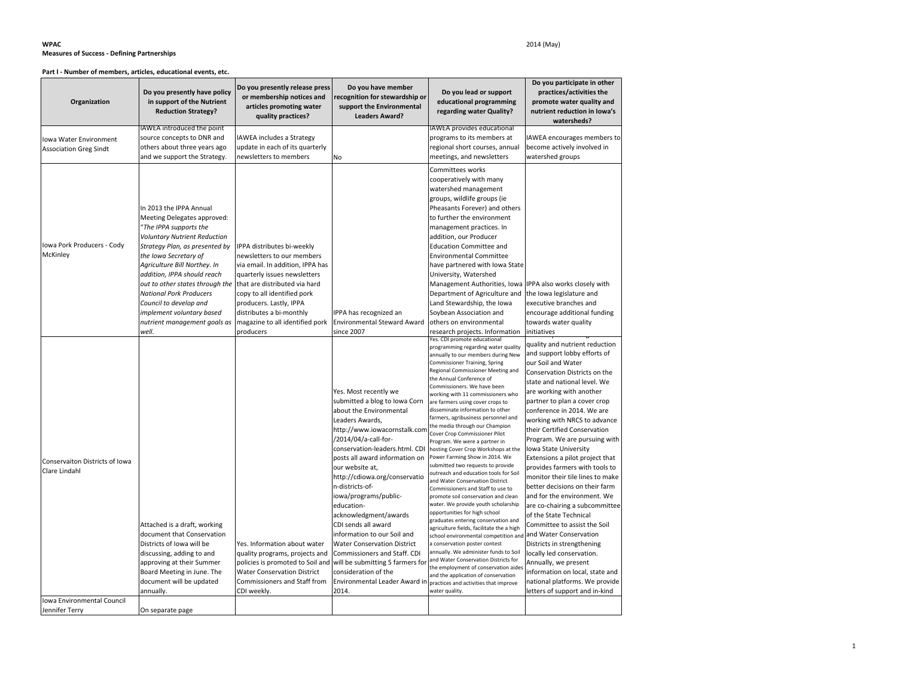#### **WPAC** 2014 (May) **Measures of Success - Defining Partnerships**

#### **Part I - Number of members, articles, educational events, etc.**

| Organization                                            | Do you presently have policy<br>in support of the Nutrient<br><b>Reduction Strategy?</b>                                                                                                                                                                                                                                                                                                                               | Do you presently release press<br>or membership notices and<br>articles promoting water<br>quality practices?                                                                                                                                                                                       | Do you have member<br>recognition for stewardship or<br>support the Environmental<br><b>Leaders Award?</b>                                                                                                                                                                                                                                                                                                                                                                                                                                                                                                                                      | Do you lead or support<br>educational programming<br>regarding water Quality?                                                                                                                                                                                                                                                                                                                                                                                                                                                                                                                                                                                                                                                                                                                                                                                                                                                                                                                                                                                                                                                                                                                   | Do you participate in other<br>practices/activities the<br>promote water quality and<br>nutrient reduction in Iowa's<br>watersheds?                                                                                                                                                                                                                                                                                                                                                                                                                                                                                                                                                                                                                                                                                                                                 |
|---------------------------------------------------------|------------------------------------------------------------------------------------------------------------------------------------------------------------------------------------------------------------------------------------------------------------------------------------------------------------------------------------------------------------------------------------------------------------------------|-----------------------------------------------------------------------------------------------------------------------------------------------------------------------------------------------------------------------------------------------------------------------------------------------------|-------------------------------------------------------------------------------------------------------------------------------------------------------------------------------------------------------------------------------------------------------------------------------------------------------------------------------------------------------------------------------------------------------------------------------------------------------------------------------------------------------------------------------------------------------------------------------------------------------------------------------------------------|-------------------------------------------------------------------------------------------------------------------------------------------------------------------------------------------------------------------------------------------------------------------------------------------------------------------------------------------------------------------------------------------------------------------------------------------------------------------------------------------------------------------------------------------------------------------------------------------------------------------------------------------------------------------------------------------------------------------------------------------------------------------------------------------------------------------------------------------------------------------------------------------------------------------------------------------------------------------------------------------------------------------------------------------------------------------------------------------------------------------------------------------------------------------------------------------------|---------------------------------------------------------------------------------------------------------------------------------------------------------------------------------------------------------------------------------------------------------------------------------------------------------------------------------------------------------------------------------------------------------------------------------------------------------------------------------------------------------------------------------------------------------------------------------------------------------------------------------------------------------------------------------------------------------------------------------------------------------------------------------------------------------------------------------------------------------------------|
| Iowa Water Environment<br><b>Association Greg Sindt</b> | IAWEA introduced the point<br>source concepts to DNR and<br>others about three years ago<br>and we support the Strategy.                                                                                                                                                                                                                                                                                               | <b>IAWEA includes a Strategy</b><br>update in each of its quarterly<br>newsletters to members                                                                                                                                                                                                       | No                                                                                                                                                                                                                                                                                                                                                                                                                                                                                                                                                                                                                                              | IAWEA provides educational<br>programs to its members at<br>regional short courses, annual<br>meetings, and newsletters                                                                                                                                                                                                                                                                                                                                                                                                                                                                                                                                                                                                                                                                                                                                                                                                                                                                                                                                                                                                                                                                         | <b>AWEA</b> encourages members to<br>become actively involved in<br>watershed groups                                                                                                                                                                                                                                                                                                                                                                                                                                                                                                                                                                                                                                                                                                                                                                                |
| Iowa Pork Producers - Cody<br>McKinley                  | In 2013 the IPPA Annual<br>Meeting Delegates approved:<br>'The IPPA supports the<br><b>Voluntary Nutrient Reduction</b><br>Strategy Plan, as presented by<br>the Iowa Secretary of<br>Agriculture Bill Northey. In<br>addition, IPPA should reach<br>out to other states through the<br><b>National Pork Producers</b><br>Council to develop and<br>implement voluntary based<br>nutrient management goals as<br>well. | IPPA distributes bi-weekly<br>newsletters to our members<br>via email. In addition, IPPA has<br>quarterly issues newsletters<br>that are distributed via hard<br>copy to all identified pork<br>producers. Lastly, IPPA<br>distributes a bi-monthly<br>magazine to all identified pork<br>producers | IPPA has recognized an<br><b>Environmental Steward Award</b><br>since 2007                                                                                                                                                                                                                                                                                                                                                                                                                                                                                                                                                                      | Committees works<br>cooperatively with many<br>watershed management<br>groups, wildlife groups (ie<br>Pheasants Forever) and others<br>to further the environment<br>management practices. In<br>addition, our Producer<br><b>Education Committee and</b><br><b>Environmental Committee</b><br>have partnered with Iowa State<br>University, Watershed<br>Management Authorities, Iowa<br>Department of Agriculture and<br>Land Stewardship, the Iowa<br>Soybean Association and<br>others on environmental<br>research projects. Information                                                                                                                                                                                                                                                                                                                                                                                                                                                                                                                                                                                                                                                   | IPPA also works closely with<br>the Iowa legislature and<br>executive branches and<br>encourage additional funding<br>towards water quality<br>initiatives                                                                                                                                                                                                                                                                                                                                                                                                                                                                                                                                                                                                                                                                                                          |
| Conservaiton Districts of Iowa<br>Clare Lindahl         | Attached is a draft, working<br>document that Conservation<br>Districts of Iowa will be<br>discussing, adding to and<br>approving at their Summer<br>Board Meeting in June. The<br>document will be updated<br>annually.                                                                                                                                                                                               | Yes. Information about water<br>quality programs, projects and<br>policies is promoted to Soil and<br><b>Water Conservation District</b><br>Commissioners and Staff from<br>CDI weekly.                                                                                                             | Yes. Most recently we<br>submitted a blog to Iowa Corn<br>about the Environmental<br>Leaders Awards,<br>http://www.iowacornstalk.com<br>/2014/04/a-call-for-<br>conservation-leaders.html. CDI<br>posts all award information on<br>our website at,<br>http://cdiowa.org/conservatio<br>n-districts-of-<br>iowa/programs/public-<br>education-<br>acknowledgment/awards<br>CDI sends all award<br>information to our Soil and<br><b>Water Conservation District</b><br>Commissioners and Staff. CDI<br>will be submitting 5 farmers for<br>consideration of the<br>Environmental Leader Award in practices and activities that improve<br>2014. | Yes. CDI promote educational<br>programming regarding water quality<br>annually to our members during New<br>Commissioner Training, Spring<br>Regional Commissioner Meeting and<br>the Annual Conference of<br>Commissioners. We have been<br>working with 11 commissioners who<br>are farmers using cover crops to<br>disseminate information to other<br>farmers, agribusiness personnel and<br>the media through our Champion<br>Cover Crop Commissioner Pilot<br>Program. We were a partner in<br>hosting Cover Crop Workshops at the<br>Power Farming Show in 2014. We<br>submitted two requests to provide<br>outreach and education tools for Soil<br>and Water Conservation District<br>Commissioners and Staff to use to<br>promote soil conservation and clean<br>water. We provide youth scholarship<br>opportunities for high school<br>graduates entering conservation and<br>agriculture fields, facilitate the a high<br>school environmental competition and<br>a conservation poster contest<br>annually. We administer funds to Soil<br>and Water Conservation Districts for<br>the employment of conservation aides<br>and the application of conservation<br>water quality. | quality and nutrient reduction<br>and support lobby efforts of<br>our Soil and Water<br>Conservation Districts on the<br>state and national level. We<br>are working with another<br>partner to plan a cover crop<br>conference in 2014. We are<br>working with NRCS to advance<br>their Certified Conservation<br>Program. We are pursuing with<br>Iowa State University<br>Extensions a pilot project that<br>provides farmers with tools to<br>monitor their tile lines to make<br>better decisions on their farm<br>and for the environment. We<br>are co-chairing a subcommittee<br>of the State Technical<br>Committee to assist the Soil<br>and Water Conservation<br>Districts in strengthening<br>locally led conservation.<br>Annually, we present<br>information on local, state and<br>national platforms. We provide<br>letters of support and in-kind |
| Iowa Environmental Council<br>Jennifer Terry            | On separate page                                                                                                                                                                                                                                                                                                                                                                                                       |                                                                                                                                                                                                                                                                                                     |                                                                                                                                                                                                                                                                                                                                                                                                                                                                                                                                                                                                                                                 |                                                                                                                                                                                                                                                                                                                                                                                                                                                                                                                                                                                                                                                                                                                                                                                                                                                                                                                                                                                                                                                                                                                                                                                                 |                                                                                                                                                                                                                                                                                                                                                                                                                                                                                                                                                                                                                                                                                                                                                                                                                                                                     |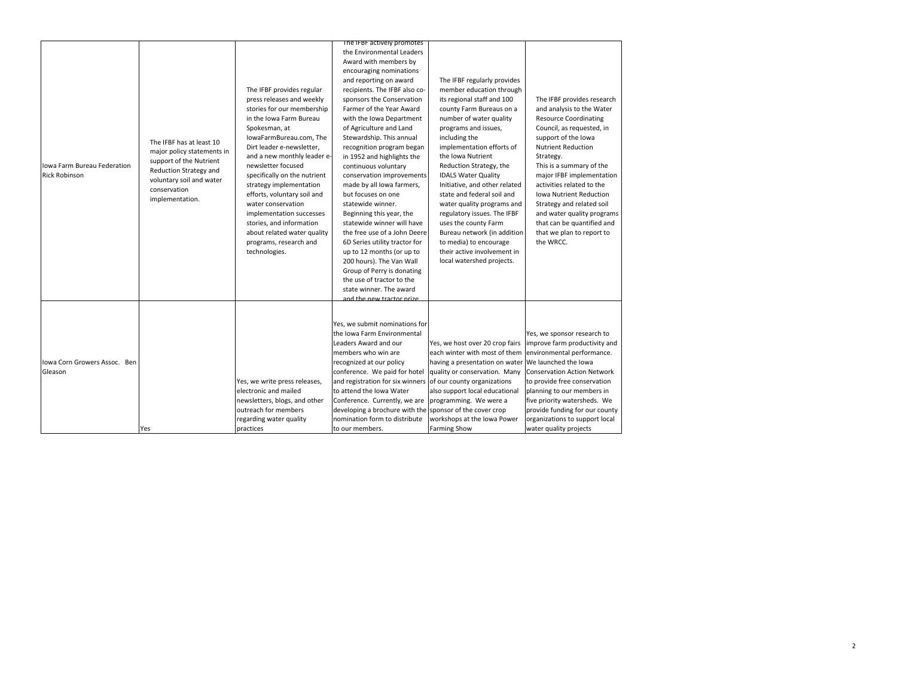|                              |                                                        |                               | The IFBF actively promotes                                   |                                 |                                    |
|------------------------------|--------------------------------------------------------|-------------------------------|--------------------------------------------------------------|---------------------------------|------------------------------------|
|                              |                                                        |                               | the Environmental Leaders                                    |                                 |                                    |
|                              |                                                        |                               | Award with members by                                        |                                 |                                    |
|                              |                                                        |                               | encouraging nominations                                      |                                 |                                    |
|                              |                                                        |                               | and reporting on award                                       | The IFBF regularly provides     |                                    |
|                              |                                                        | The IFBF provides regular     | recipients. The IFBF also co-                                | member education through        |                                    |
|                              |                                                        | press releases and weekly     | sponsors the Conservation                                    | its regional staff and 100      | The IFBF provides research         |
|                              |                                                        | stories for our membership    | Farmer of the Year Award                                     | county Farm Bureaus on a        | and analysis to the Water          |
|                              |                                                        | in the Iowa Farm Bureau       | with the Iowa Department                                     | number of water quality         | <b>Resource Coordinating</b>       |
|                              |                                                        | Spokesman, at                 | of Agriculture and Land                                      | programs and issues,            | Council, as requested, in          |
|                              |                                                        | IowaFarmBureau.com, The       | Stewardship. This annual                                     | including the                   | support of the Iowa                |
|                              | The IFBF has at least 10<br>major policy statements in | Dirt leader e-newsletter,     | recognition program began                                    | implementation efforts of       | <b>Nutrient Reduction</b>          |
|                              | support of the Nutrient                                | and a new monthly leader e-   | in 1952 and highlights the                                   | the Iowa Nutrient               | Strategy.                          |
| Iowa Farm Bureau Federation  | Reduction Strategy and                                 | newsletter focused            | continuous voluntary                                         | Reduction Strategy, the         | This is a summary of the           |
| <b>Rick Robinson</b>         | voluntary soil and water                               | specifically on the nutrient  | conservation improvements                                    | <b>IDALS Water Quality</b>      | major IFBF implementation          |
|                              | conservation                                           | strategy implementation       | made by all lowa farmers,                                    | Initiative, and other related   | activities related to the          |
|                              | implementation.                                        | efforts, voluntary soil and   | but focuses on one                                           | state and federal soil and      | Iowa Nutrient Reduction            |
|                              |                                                        | water conservation            | statewide winner.                                            | water quality programs and      | Strategy and related soil          |
|                              |                                                        | implementation successes      | Beginning this year, the                                     | regulatory issues. The IFBF     | and water quality programs         |
|                              |                                                        | stories, and information      | statewide winner will have                                   | uses the county Farm            | that can be quantified and         |
|                              |                                                        | about related water quality   | the free use of a John Deere                                 | Bureau network (in addition     | that we plan to report to          |
|                              |                                                        | programs, research and        | 6D Series utility tractor for                                | to media) to encourage          | the WRCC.                          |
|                              |                                                        | technologies.                 | up to 12 months (or up to                                    | their active involvement in     |                                    |
|                              |                                                        |                               | 200 hours). The Van Wall                                     | local watershed projects.       |                                    |
|                              |                                                        |                               | Group of Perry is donating                                   |                                 |                                    |
|                              |                                                        |                               | the use of tractor to the                                    |                                 |                                    |
|                              |                                                        |                               | state winner. The award                                      |                                 |                                    |
|                              |                                                        |                               | and the new tractor prize                                    |                                 |                                    |
|                              |                                                        |                               |                                                              |                                 |                                    |
|                              |                                                        |                               | Yes, we submit nominations for                               |                                 |                                    |
|                              |                                                        |                               | the Iowa Farm Environmental                                  |                                 | Yes, we sponsor research to        |
|                              |                                                        |                               | Leaders Award and our                                        | Yes, we host over 20 crop fairs | improve farm productivity and      |
|                              |                                                        |                               | members who win are                                          | each winter with most of them   | environmental performance.         |
| Iowa Corn Growers Assoc. Ben |                                                        |                               | recognized at our policy                                     | having a presentation on water  | We launched the Iowa               |
| Gleason                      |                                                        |                               | conference. We paid for hotel                                | quality or conservation. Many   | <b>Conservation Action Network</b> |
|                              |                                                        | Yes, we write press releases, | and registration for six winners of our county organizations |                                 | to provide free conservation       |
|                              |                                                        | electronic and mailed         | to attend the Iowa Water                                     | also support local educational  | planning to our members in         |
|                              |                                                        | newsletters, blogs, and other | Conference. Currently, we are                                | programming. We were a          | five priority watersheds. We       |
|                              |                                                        | outreach for members          | developing a brochure with the sponsor of the cover crop     |                                 |                                    |
|                              |                                                        |                               | nomination form to distribute                                |                                 | provide funding for our county     |
|                              |                                                        | regarding water quality       |                                                              | workshops at the Iowa Power     | organizations to support local     |
|                              | Yes                                                    | practices                     | to our members.                                              | <b>Farming Show</b>             | water quality projects             |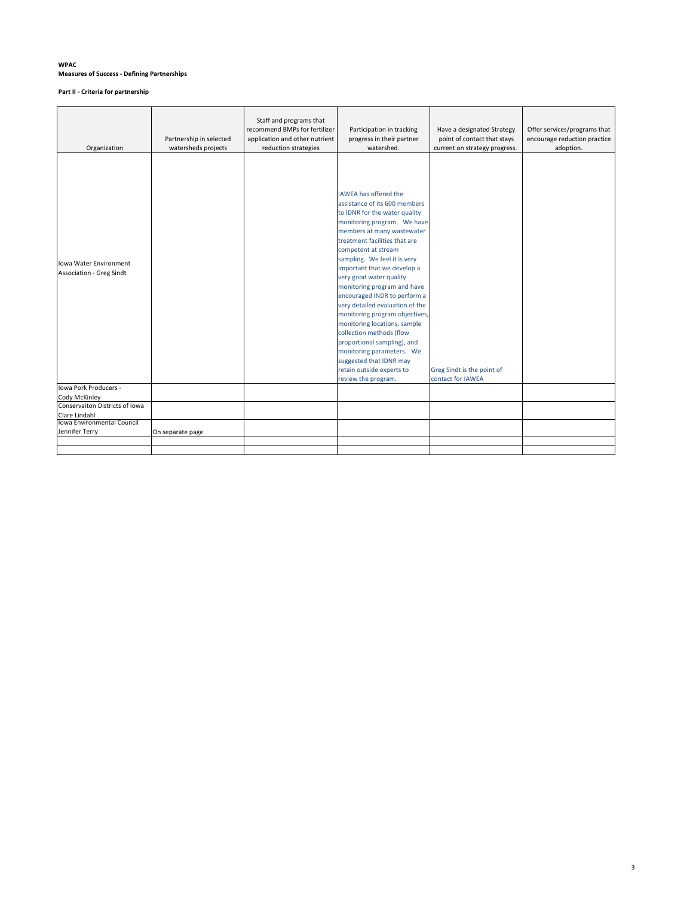### **WPAC Measures of Success - Defining Partnerships**

**Part II - Criteria for partnership**

| Organization                                              | Partnership in selected<br>watersheds projects | Staff and programs that<br>recommend BMPs for fertilizer<br>application and other nutrient<br>reduction strategies | Participation in tracking<br>progress in their partner<br>watershed.                                                                                                                                                                                                                                                                                                                                                                                                                                                                                                                                                                                     | Have a designated Strategy<br>point of contact that stays<br>current on strategy progress. | Offer services/programs that<br>encourage reduction practice<br>adoption. |
|-----------------------------------------------------------|------------------------------------------------|--------------------------------------------------------------------------------------------------------------------|----------------------------------------------------------------------------------------------------------------------------------------------------------------------------------------------------------------------------------------------------------------------------------------------------------------------------------------------------------------------------------------------------------------------------------------------------------------------------------------------------------------------------------------------------------------------------------------------------------------------------------------------------------|--------------------------------------------------------------------------------------------|---------------------------------------------------------------------------|
| Iowa Water Environment<br><b>Association - Greg Sindt</b> |                                                |                                                                                                                    | <b>IAWEA has offered the</b><br>assistance of its 600 members<br>to IDNR for the water quality<br>monitoring program. We have<br>members at many wastewater<br>treatment facilities that are<br>competent at stream<br>sampling. We feel it is very<br>important that we develop a<br>very good water quality<br>monitoring program and have<br>encouraged INDR to perform a<br>very detailed evaluation of the<br>monitoring program objectives,<br>monitoring locations, sample<br>collection methods (flow<br>proportional sampling), and<br>monitoring parameters. We<br>suggested that IDNR may<br>retain outside experts to<br>review the program. | Greg Sindt is the point of<br>contact for IAWEA                                            |                                                                           |
| Iowa Pork Producers -                                     |                                                |                                                                                                                    |                                                                                                                                                                                                                                                                                                                                                                                                                                                                                                                                                                                                                                                          |                                                                                            |                                                                           |
| Cody McKinley<br>Conservaiton Districts of Iowa           |                                                |                                                                                                                    |                                                                                                                                                                                                                                                                                                                                                                                                                                                                                                                                                                                                                                                          |                                                                                            |                                                                           |
| Clare Lindahl                                             |                                                |                                                                                                                    |                                                                                                                                                                                                                                                                                                                                                                                                                                                                                                                                                                                                                                                          |                                                                                            |                                                                           |
| Iowa Environmental Council                                |                                                |                                                                                                                    |                                                                                                                                                                                                                                                                                                                                                                                                                                                                                                                                                                                                                                                          |                                                                                            |                                                                           |
| Jennifer Terry                                            | On separate page                               |                                                                                                                    |                                                                                                                                                                                                                                                                                                                                                                                                                                                                                                                                                                                                                                                          |                                                                                            |                                                                           |
|                                                           |                                                |                                                                                                                    |                                                                                                                                                                                                                                                                                                                                                                                                                                                                                                                                                                                                                                                          |                                                                                            |                                                                           |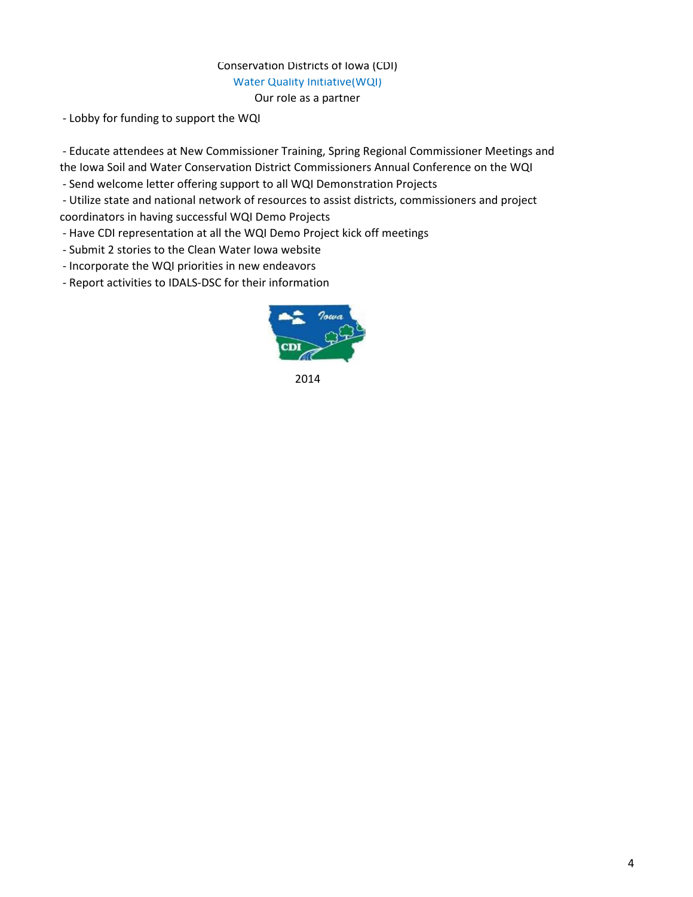#### Conservation Districts of Iowa (CDI) Water Quality Initiative(WQI) Our role as a partner

- Lobby for funding to support the WQI

 - Educate attendees at New Commissioner Training, Spring Regional Commissioner Meetings and the Iowa Soil and Water Conservation District Commissioners Annual Conference on the WQI

- Send welcome letter offering support to all WQI Demonstration Projects

 - Utilize state and national network of resources to assist districts, commissioners and project coordinators in having successful WQI Demo Projects

- Have CDI representation at all the WQI Demo Project kick off meetings

- Submit 2 stories to the Clean Water Iowa website

- Incorporate the WQI priorities in new endeavors

- Report activities to IDALS-DSC for their information



2014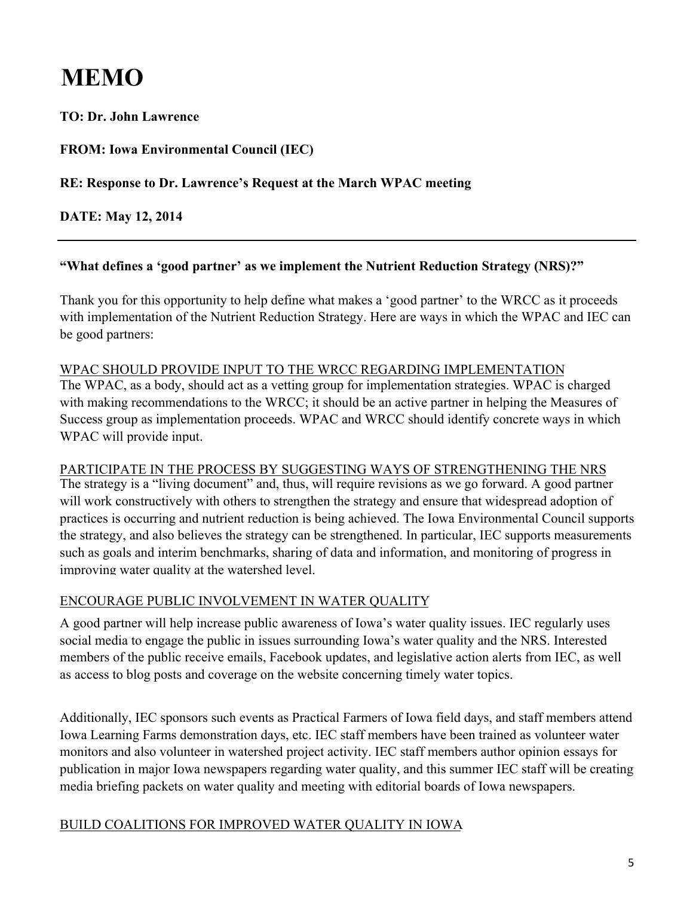# **MEMO**

**TO: Dr. John Lawrence**

**FROM: Iowa Environmental Council (IEC)**

#### **RE: Response to Dr. Lawrence's Request at the March WPAC meeting**

**DATE: May 12, 2014**

### **"What defines a 'good partner' as we implement the Nutrient Reduction Strategy (NRS)?"**

Thank you for this opportunity to help define what makes a 'good partner' to the WRCC as it proceeds with implementation of the Nutrient Reduction Strategy. Here are ways in which the WPAC and IEC can be good partners:

#### WPAC SHOULD PROVIDE INPUT TO THE WRCC REGARDING IMPLEMENTATION

The WPAC, as a body, should act as a vetting group for implementation strategies. WPAC is charged with making recommendations to the WRCC; it should be an active partner in helping the Measures of Success group as implementation proceeds. WPAC and WRCC should identify concrete ways in which WPAC will provide input.

#### PARTICIPATE IN THE PROCESS BY SUGGESTING WAYS OF STRENGTHENING THE NRS

The strategy is a "living document" and, thus, will require revisions as we go forward. A good partner will work constructively with others to strengthen the strategy and ensure that widespread adoption of practices is occurring and nutrient reduction is being achieved. The Iowa Environmental Council supports the strategy, and also believes the strategy can be strengthened. In particular, IEC supports measurements such as goals and interim benchmarks, sharing of data and information, and monitoring of progress in improving water quality at the watershed level.

### ENCOURAGE PUBLIC INVOLVEMENT IN WATER QUALITY

A good partner will help increase public awareness of Iowa's water quality issues. IEC regularly uses social media to engage the public in issues surrounding Iowa's water quality and the NRS. Interested members of the public receive emails, Facebook updates, and legislative action alerts from IEC, as well as access to blog posts and coverage on the website concerning timely water topics.

Additionally, IEC sponsors such events as Practical Farmers of Iowa field days, and staff members attend Iowa Learning Farms demonstration days, etc. IEC staff members have been trained as volunteer water monitors and also volunteer in watershed project activity. IEC staff members author opinion essays for publication in major Iowa newspapers regarding water quality, and this summer IEC staff will be creating media briefing packets on water quality and meeting with editorial boards of Iowa newspapers.

#### BUILD COALITIONS FOR IMPROVED WATER QUALITY IN IOWA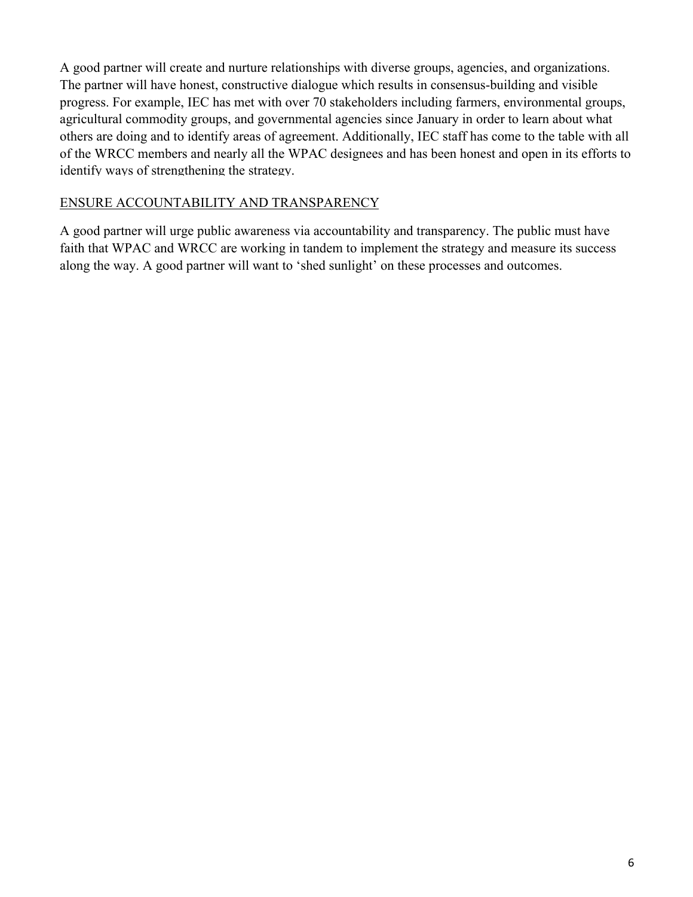A good partner will create and nurture relationships with diverse groups, agencies, and organizations. The partner will have honest, constructive dialogue which results in consensus-building and visible progress. For example, IEC has met with over 70 stakeholders including farmers, environmental groups, agricultural commodity groups, and governmental agencies since January in order to learn about what others are doing and to identify areas of agreement. Additionally, IEC staff has come to the table with all of the WRCC members and nearly all the WPAC designees and has been honest and open in its efforts to identify ways of strengthening the strategy.

#### ENSURE ACCOUNTABILITY AND TRANSPARENCY

A good partner will urge public awareness via accountability and transparency. The public must have faith that WPAC and WRCC are working in tandem to implement the strategy and measure its success along the way. A good partner will want to 'shed sunlight' on these processes and outcomes.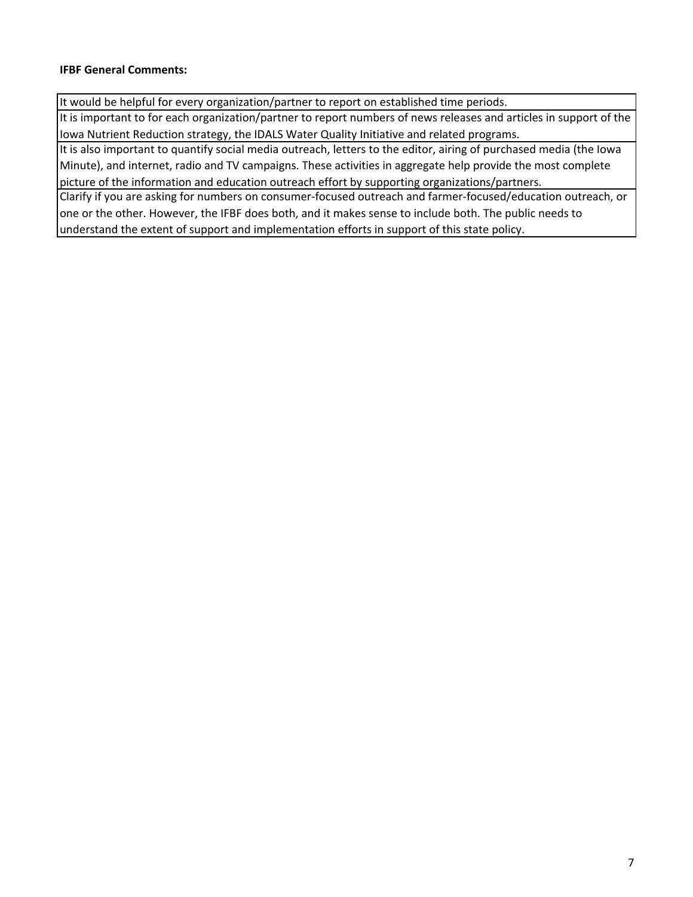#### **IFBF General Comments:**

It would be helpful for every organization/partner to report on established time periods.

It is important to for each organization/partner to report numbers of news releases and articles in support of the Iowa Nutrient Reduction strategy, the IDALS Water Quality Initiative and related programs.

It is also important to quantify social media outreach, letters to the editor, airing of purchased media (the Iowa Minute), and internet, radio and TV campaigns. These activities in aggregate help provide the most complete picture of the information and education outreach effort by supporting organizations/partners.

Clarify if you are asking for numbers on consumer-focused outreach and farmer-focused/education outreach, or one or the other. However, the IFBF does both, and it makes sense to include both. The public needs to understand the extent of support and implementation efforts in support of this state policy.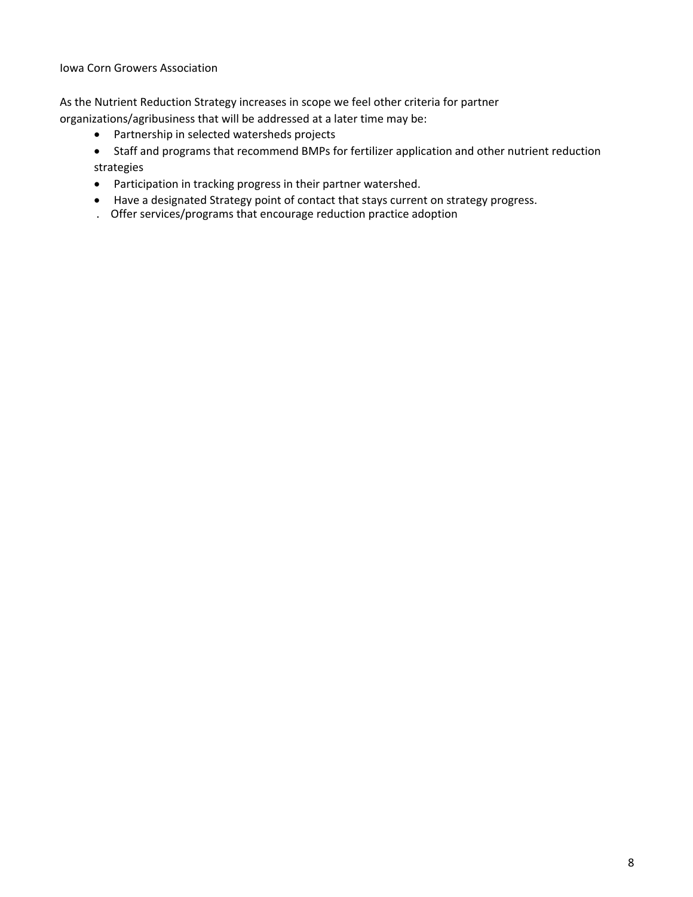Iowa Corn Growers Association

As the Nutrient Reduction Strategy increases in scope we feel other criteria for partner organizations/agribusiness that will be addressed at a later time may be:

- Partnership in selected watersheds projects
- Staff and programs that recommend BMPs for fertilizer application and other nutrient reduction strategies
- Participation in tracking progress in their partner watershed.
- Have a designated Strategy point of contact that stays current on strategy progress.
- . Offer services/programs that encourage reduction practice adoption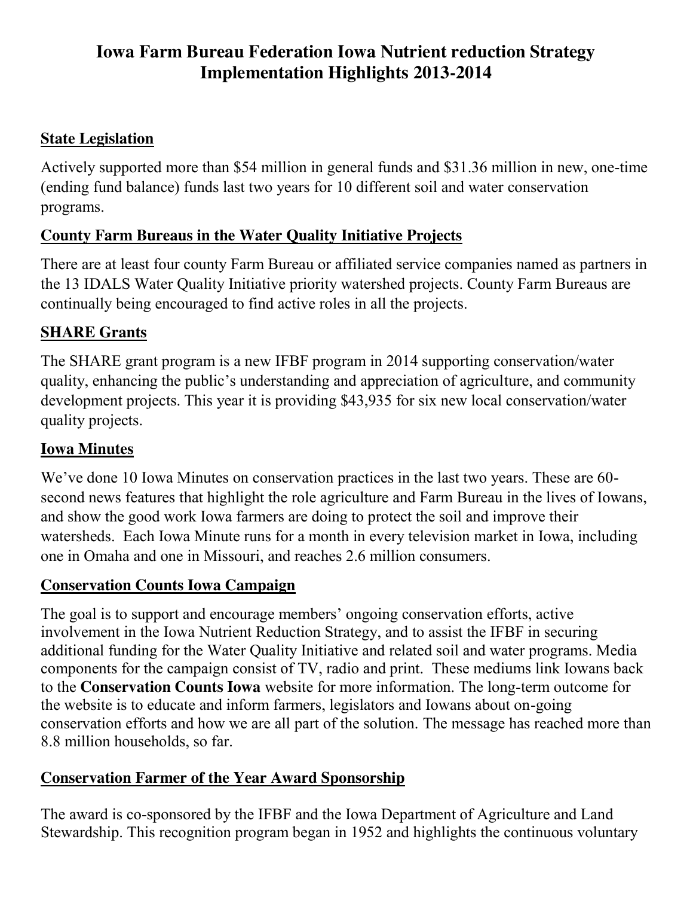# **Iowa Farm Bureau Federation Iowa Nutrient reduction Strategy Implementation Highlights 2013-2014**

### **State Legislation**

Actively supported more than \$54 million in general funds and \$31.36 million in new, one-time (ending fund balance) funds last two years for 10 different soil and water conservation programs.

### **County Farm Bureaus in the Water Quality Initiative Projects**

There are at least four county Farm Bureau or affiliated service companies named as partners in the 13 IDALS Water Quality Initiative priority watershed projects. County Farm Bureaus are continually being encouraged to find active roles in all the projects.

### **SHARE Grants**

The SHARE grant program is a new IFBF program in 2014 supporting conservation/water quality, enhancing the public's understanding and appreciation of agriculture, and community development projects. This year it is providing \$43,935 for six new local conservation/water quality projects.

### **Iowa Minutes**

We've done 10 Iowa Minutes on conservation practices in the last two years. These are 60 second news features that highlight the role agriculture and Farm Bureau in the lives of Iowans, and show the good work Iowa farmers are doing to protect the soil and improve their watersheds. Each Iowa Minute runs for a month in every television market in Iowa, including one in Omaha and one in Missouri, and reaches 2.6 million consumers.

### **Conservation Counts Iowa Campaign**

The goal is to support and encourage members' ongoing conservation efforts, active involvement in the Iowa Nutrient Reduction Strategy, and to assist the IFBF in securing additional funding for the Water Quality Initiative and related soil and water programs. Media components for the campaign consist of TV, radio and print. These mediums link Iowans back to the **Conservation Counts Iowa** website for more information. The long-term outcome for the website is to educate and inform farmers, legislators and Iowans about on-going conservation efforts and how we are all part of the solution. The message has reached more than 8.8 million households, so far.

## **Conservation Farmer of the Year Award Sponsorship**

The award is co-sponsored by the IFBF and the Iowa Department of Agriculture and Land Stewardship. This recognition program began in 1952 and highlights the continuous voluntary